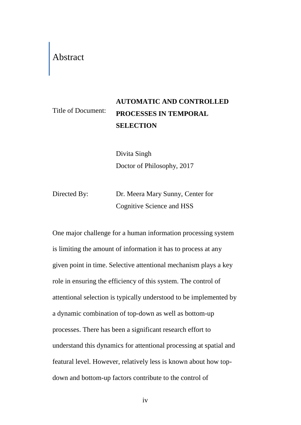## Abstract

## Title of Document: **AUTOMATIC AND CONTROLLED PROCESSES IN TEMPORAL SELECTION**

Divita Singh Doctor of Philosophy, 2017

Directed By: Dr. Meera Mary Sunny, Center for Cognitive Science and HSS

One major challenge for a human information processing system is limiting the amount of information it has to process at any given point in time. Selective attentional mechanism plays a key role in ensuring the efficiency of this system. The control of attentional selection is typically understood to be implemented by a dynamic combination of top-down as well as bottom-up processes. There has been a significant research effort to understand this dynamics for attentional processing at spatial and featural level. However, relatively less is known about how topdown and bottom-up factors contribute to the control of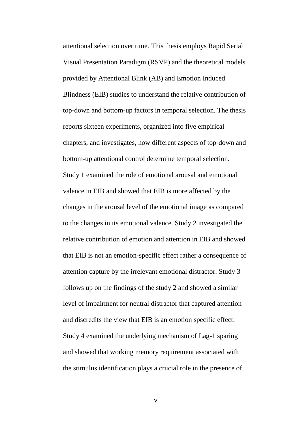attentional selection over time. This thesis employs Rapid Serial Visual Presentation Paradigm (RSVP) and the theoretical models provided by Attentional Blink (AB) and Emotion Induced Blindness (EIB) studies to understand the relative contribution of top-down and bottom-up factors in temporal selection. The thesis reports sixteen experiments, organized into five empirical chapters, and investigates, how different aspects of top-down and bottom-up attentional control determine temporal selection. Study 1 examined the role of emotional arousal and emotional valence in EIB and showed that EIB is more affected by the changes in the arousal level of the emotional image as compared to the changes in its emotional valence. Study 2 investigated the relative contribution of emotion and attention in EIB and showed that EIB is not an emotion-specific effect rather a consequence of attention capture by the irrelevant emotional distractor. Study 3 follows up on the findings of the study 2 and showed a similar level of impairment for neutral distractor that captured attention and discredits the view that EIB is an emotion specific effect. Study 4 examined the underlying mechanism of Lag-1 sparing and showed that working memory requirement associated with the stimulus identification plays a crucial role in the presence of

v